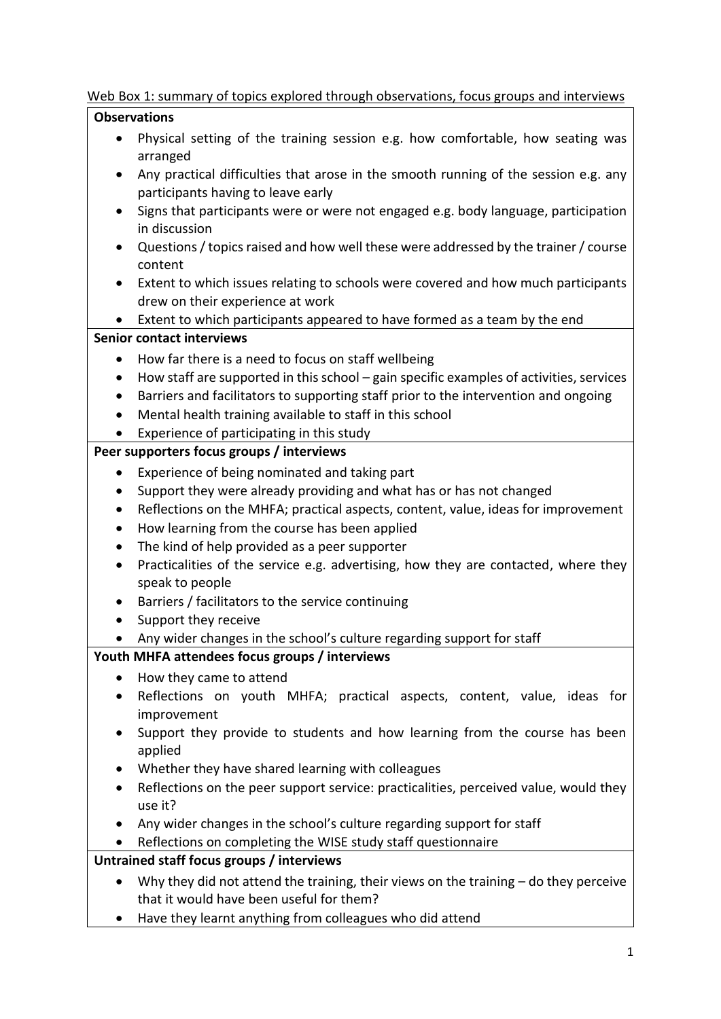#### Web Box 1: summary of topics explored through observations, focus groups and interviews

# **Observations**

- Physical setting of the training session e.g. how comfortable, how seating was arranged
- Any practical difficulties that arose in the smooth running of the session e.g. any participants having to leave early
- Signs that participants were or were not engaged e.g. body language, participation in discussion
- Questions / topics raised and how well these were addressed by the trainer / course content
- Extent to which issues relating to schools were covered and how much participants drew on their experience at work
- Extent to which participants appeared to have formed as a team by the end

#### **Senior contact interviews**

- How far there is a need to focus on staff wellbeing
- How staff are supported in this school gain specific examples of activities, services
- Barriers and facilitators to supporting staff prior to the intervention and ongoing
- Mental health training available to staff in this school
- Experience of participating in this study

### **Peer supporters focus groups / interviews**

- Experience of being nominated and taking part
- Support they were already providing and what has or has not changed
- Reflections on the MHFA; practical aspects, content, value, ideas for improvement
- How learning from the course has been applied
- The kind of help provided as a peer supporter
- Practicalities of the service e.g. advertising, how they are contacted, where they speak to people
- Barriers / facilitators to the service continuing
- Support they receive
- Any wider changes in the school's culture regarding support for staff

## **Youth MHFA attendees focus groups / interviews**

- How they came to attend
- Reflections on youth MHFA; practical aspects, content, value, ideas for improvement
- Support they provide to students and how learning from the course has been applied
- Whether they have shared learning with colleagues
- Reflections on the peer support service: practicalities, perceived value, would they use it?
- Any wider changes in the school's culture regarding support for staff
- Reflections on completing the WISE study staff questionnaire

## **Untrained staff focus groups / interviews**

- Why they did not attend the training, their views on the training do they perceive that it would have been useful for them?
- Have they learnt anything from colleagues who did attend